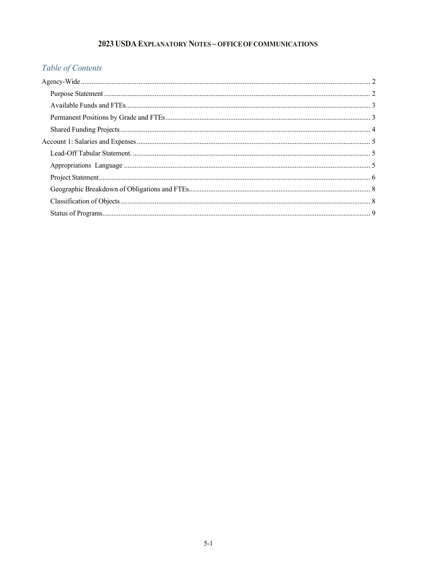## 2023 USDA EXPLANATORY NOTES - OFFICE OF COMMUNICATIONS

# Table of Contents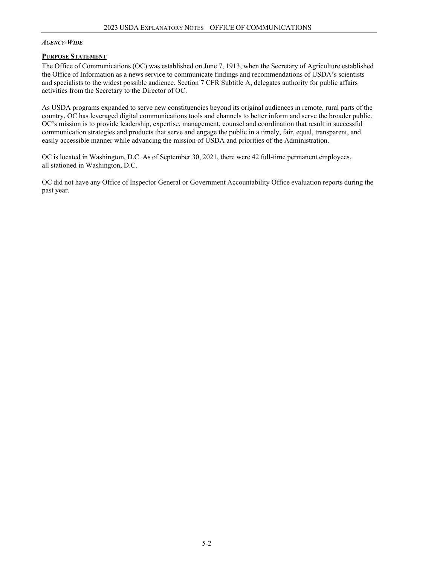### *AGENCY-WIDE*

### **PURPOSE STATEMENT**

The Office of Communications (OC) was established on June 7, 1913, when the Secretary of Agriculture established the Office of Information as a news service to communicate findings and recommendations of USDA's scientists and specialists to the widest possible audience. Section 7 CFR Subtitle A, delegates authority for public affairs activities from the Secretary to the Director of OC.

As USDA programs expanded to serve new constituencies beyond its original audiences in remote, rural parts of the country, OC has leveraged digital communications tools and channels to better inform and serve the broader public. OC's mission is to provide leadership, expertise, management, counsel and coordination that result in successful communication strategies and products that serve and engage the public in a timely, fair, equal, transparent, and easily accessible manner while advancing the mission of USDA and priorities of the Administration.

OC is located in Washington, D.C. As of September 30, 2021, there were 42 full-time permanent employees, all stationed in Washington, D.C.

OC did not have any Office of Inspector General or Government Accountability Office evaluation reports during the past year.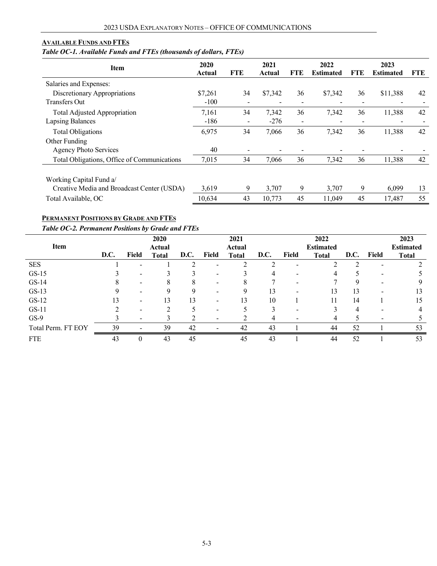### **AVAILABLE FUNDS AND FTES**

### *Table OC-1. Available Funds and FTEs (thousands of dollars, FTEs)*

| <b>Item</b>                                 | 2020<br>Actual | <b>FTE</b>               | 2021<br>Actual           | FTE                      | 2022<br><b>Estimated</b> | FTE.                     | 2023<br><b>Estimated</b> | <b>FTE</b> |
|---------------------------------------------|----------------|--------------------------|--------------------------|--------------------------|--------------------------|--------------------------|--------------------------|------------|
| Salaries and Expenses:                      |                |                          |                          |                          |                          |                          |                          |            |
| Discretionary Appropriations                | \$7,261        | 34                       | \$7,342                  | 36                       | \$7,342                  | 36                       | \$11,388                 | 42         |
| <b>Transfers Out</b>                        | $-100$         | $\overline{\phantom{0}}$ | $\overline{\phantom{a}}$ | $\overline{\phantom{a}}$ |                          | $\overline{\phantom{0}}$ | $\overline{\phantom{0}}$ |            |
| Total Adjusted Appropriation                | 7,161          | 34                       | 7.342                    | 36                       | 7,342                    | 36                       | 11,388                   | 42         |
| <b>Lapsing Balances</b>                     | $-186$         | $\overline{\phantom{a}}$ | $-276$                   | $\overline{\phantom{a}}$ |                          |                          | $\overline{\phantom{0}}$ |            |
| <b>Total Obligations</b>                    | 6,975          | 34                       | 7,066                    | 36                       | 7,342                    | 36                       | 11,388                   | 42         |
| Other Funding                               |                |                          |                          |                          |                          |                          |                          |            |
| <b>Agency Photo Services</b>                | 40             |                          |                          |                          |                          |                          |                          |            |
| Total Obligations, Office of Communications | 7,015          | 34                       | 7,066                    | 36                       | 7,342                    | 36                       | 11,388                   | 42         |
| Working Capital Fund a/                     |                |                          |                          |                          |                          |                          |                          |            |
| Creative Media and Broadcast Center (USDA)  | 3,619          | 9                        | 3,707                    | 9                        | 3,707                    | 9                        | 6.099                    | 13         |
| Total Available, OC                         | 10,634         | 43                       | 10,773                   | 45                       | 11,049                   | 45                       | 17.487                   | 55         |

## **PERMANENT POSITIONS BY GRADE AND FTES**

### *Table OC-2. Permanent Positions by Grade and FTEs*

| Item               |      | 2020<br>Actual           |              |      |                          | 2021<br>Actual |      |       | 2022<br><b>Estimated</b> |      |       |              |
|--------------------|------|--------------------------|--------------|------|--------------------------|----------------|------|-------|--------------------------|------|-------|--------------|
|                    | D.C. | Field                    | <b>Total</b> | D.C. | Field                    | <b>Total</b>   | D.C. | Field | <b>Total</b>             | D.C. | Field | <b>Total</b> |
| <b>SES</b>         |      | $\overline{\phantom{a}}$ |              |      | -                        |                |      |       |                          |      | -     |              |
| $GS-15$            |      | $\overline{\phantom{0}}$ |              |      |                          |                |      |       | 4                        |      |       |              |
| $GS-14$            |      | $\overline{\phantom{a}}$ |              | x    |                          |                |      |       |                          | Y    |       | Q.           |
| $GS-13$            |      | $\overline{\phantom{0}}$ |              |      |                          |                | 13   |       | 13                       | 13   |       | 13           |
| $GS-12$            |      | $\overline{\phantom{a}}$ | 13           | 13   | $\overline{\phantom{0}}$ | 13             | 10   |       | 11                       | 14   |       | 15           |
| $GS-11$            |      | $\overline{\phantom{0}}$ |              |      |                          |                |      |       |                          |      |       |              |
| $GS-9$             |      | $\overline{\phantom{0}}$ |              |      |                          |                |      |       |                          |      |       |              |
| Total Perm. FT EOY | 39   |                          | 39           | 42   |                          | 42             | 43   |       | 44                       | 52   |       | 53           |
| <b>FTE</b>         | 43   | $_{0}$                   | 43           | 45   |                          | 45             | 43   |       | 44                       | 52   |       | 53           |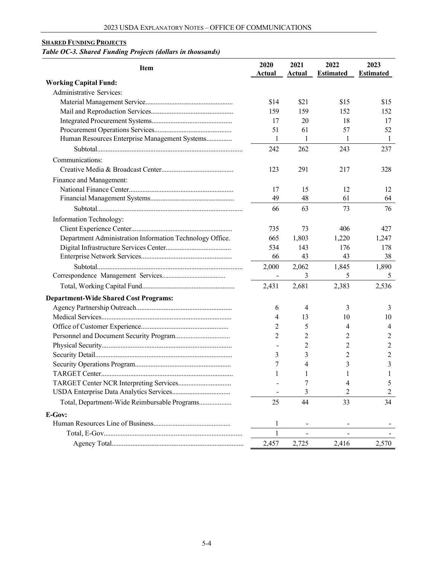# **SHARED FUNDING PROJECTS**

## *Table OC-3. Shared Funding Projects (dollars in thousands)*

| <b>Item</b>                                              | 2020<br>Actual | 2021<br><b>Actual</b> | 2022<br><b>Estimated</b> | 2023<br><b>Estimated</b> |
|----------------------------------------------------------|----------------|-----------------------|--------------------------|--------------------------|
| <b>Working Capital Fund:</b>                             |                |                       |                          |                          |
| Administrative Services:                                 |                |                       |                          |                          |
|                                                          | \$14           | \$21                  | \$15                     | \$15                     |
|                                                          | 159            | 159                   | 152                      | 152                      |
|                                                          | 17             | 20                    | 18                       | 17                       |
|                                                          | 51             | 61                    | 57                       | 52                       |
| Human Resources Enterprise Management Systems            | 1              | 1                     | 1                        | 1                        |
|                                                          | 242            | 262                   | 243                      | 237                      |
| Communications:                                          |                |                       |                          |                          |
|                                                          | 123            | 291                   | 217                      | 328                      |
| Finance and Management:                                  |                |                       |                          |                          |
|                                                          | 17             | 15                    | 12                       | 12                       |
|                                                          | 49             | 48                    | 61                       | 64                       |
|                                                          | 66             | 63                    | 73                       | 76                       |
| Information Technology:                                  |                |                       |                          |                          |
|                                                          | 735            | 73                    | 406                      | 427                      |
| Department Administration Information Technology Office. | 665            | 1,803                 | 1,220                    | 1,247                    |
|                                                          | 534            | 143                   | 176                      | 178                      |
|                                                          | 66             | 43                    | 43                       | 38                       |
|                                                          | 2,000          | 2,062                 | 1,845                    | 1,890                    |
|                                                          | $\sim$         | 3                     | 5                        | 5                        |
|                                                          | 2,431          | 2,681                 | 2,383                    | 2,536                    |
| <b>Department-Wide Shared Cost Programs:</b>             |                |                       |                          |                          |
|                                                          | 6              | 4                     | 3                        | 3                        |
|                                                          | 4              | 13                    | 10                       | 10                       |
|                                                          | 2              | 5                     | 4                        | 4                        |
|                                                          | 2              | 2                     | 2                        | 2                        |
|                                                          |                | $\overline{c}$        | 2                        | $\overline{c}$           |
|                                                          | 3              | 3                     | 2                        | $\overline{2}$           |
|                                                          | 7              | 4                     | 3                        | 3                        |
|                                                          | 1              | 1                     | 1                        | 1                        |
|                                                          |                | 7                     | 4                        | 5                        |
|                                                          |                | 3                     | 2                        | 2                        |
| Total, Department-Wide Reimbursable Programs             | 25             | 44                    | 33                       | 34                       |
| E-Gov:                                                   |                |                       |                          |                          |
|                                                          | 1              |                       |                          |                          |
|                                                          | $\mathbf{1}$   |                       |                          |                          |
|                                                          | 2,457          | 2,725                 | 2,416                    | 2,570                    |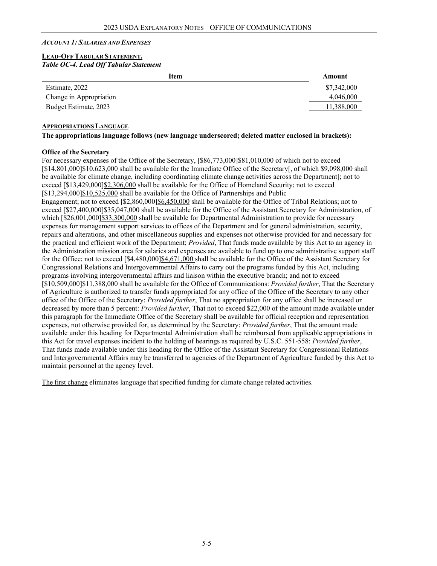### *ACCOUNT 1: SALARIES AND EXPENSES*

### **LEAD-OFFTABULAR STATEMENT.**  *Table OC-4. Lead Off Tabular Statement*

| Item                    | Amount      |
|-------------------------|-------------|
| Estimate, 2022          | \$7,342,000 |
| Change in Appropriation | 4,046,000   |
| Budget Estimate, 2023   | 1,388,000   |
|                         |             |

### **APPROPRIATIONS LANGUAGE**

### **The appropriations language follows (new language underscored; deleted matter enclosed in brackets):**

### **Office of the Secretary**

For necessary expenses of the Office of the Secretary, [\$86,773,000]\$81,010,000 of which not to exceed [\$14,801,000]\$10,623,000 shall be available for the Immediate Office of the Secretary[, of which \$9,098,000 shall be available for climate change, including coordinating climate change activities across the Department]; not to exceed [\$13,429,000]\$2,306,000 shall be available for the Office of Homeland Security; not to exceed [\$13,294,000]\$10,525,000 shall be available for the Office of Partnerships and Public Engagement; not to exceed [\$2,860,000]\$6,450,000 shall be available for the Office of Tribal Relations; not to

exceed [\$27,400,000]\$35,047,000 shall be available for the Office of the Assistant Secretary for Administration, of which  $\S26,001,000\$ \$33,300,000 shall be available for Departmental Administration to provide for necessary expenses for management support services to offices of the Department and for general administration, security, repairs and alterations, and other miscellaneous supplies and expenses not otherwise provided for and necessary for the practical and efficient work of the Department; *Provided*, That funds made available by this Act to an agency in the Administration mission area for salaries and expenses are available to fund up to one administrative support staff for the Office; not to exceed [\$4,480,000]\$4,671,000 shall be available for the Office of the Assistant Secretary for Congressional Relations and Intergovernmental Affairs to carry out the programs funded by this Act, including programs involving intergovernmental affairs and liaison within the executive branch; and not to exceed [\$10,509,000]\$11,388,000 shall be available for the Office of Communications: *Provided further*, That the Secretary of Agriculture is authorized to transfer funds appropriated for any office of the Office of the Secretary to any other office of the Office of the Secretary: *Provided further*, That no appropriation for any office shall be increased or decreased by more than 5 percent: *Provided further*, That not to exceed \$22,000 of the amount made available under this paragraph for the Immediate Office of the Secretary shall be available for official reception and representation expenses, not otherwise provided for, as determined by the Secretary: *Provided further*, That the amount made available under this heading for Departmental Administration shall be reimbursed from applicable appropriations in this Act for travel expenses incident to the holding of hearings as required by U.S.C. 551-558: *Provided further*, That funds made available under this heading for the Office of the Assistant Secretary for Congressional Relations and Intergovernmental Affairs may be transferred to agencies of the Department of Agriculture funded by this Act to maintain personnel at the agency level.

The first change eliminates language that specified funding for climate change related activities.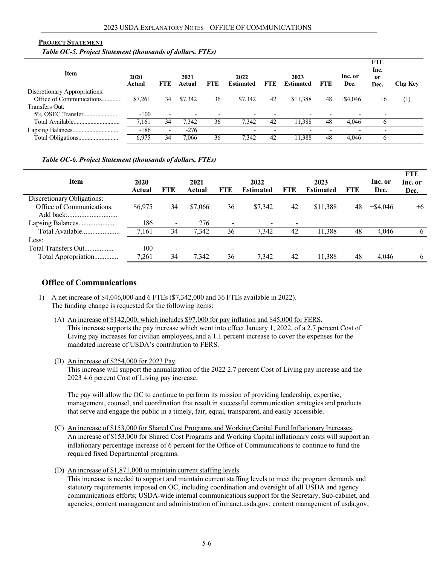### **PROJECT STATEMENT**

*Table OC-5. Project Statement (thousands of dollars, FTEs)*

| 2020<br>Actual | <b>FTE</b>               | 2021<br>Actual           | <b>FTE</b>               | 2022<br><b>Estimated</b> | <b>FTE</b> | 2023<br><b>Estimated</b> | FTE | Inc. or<br>Dec. | Inc.<br><sub>or</sub><br>Dec. | <b>Chg Key</b> |
|----------------|--------------------------|--------------------------|--------------------------|--------------------------|------------|--------------------------|-----|-----------------|-------------------------------|----------------|
|                |                          |                          |                          |                          |            |                          |     |                 |                               |                |
| \$7,261        | 34                       | \$7,342                  | 36                       | \$7,342                  | 42         | \$11,388                 | 48  | $+$ \$4.046     | $+6$                          | (1)            |
|                |                          |                          |                          |                          |            |                          |     |                 |                               |                |
| $-100$         | $\overline{\phantom{0}}$ | $\overline{\phantom{a}}$ | $\overline{\phantom{a}}$ |                          |            | $\overline{\phantom{a}}$ |     |                 | $\overline{\phantom{a}}$      |                |
| 7.161          | 34                       | 7.342                    | 36                       | 7.342                    | 42         | 11,388                   | 48  | 4.046           |                               |                |
| $-186$         | $\overline{\phantom{0}}$ | $-276$                   |                          | $\overline{\phantom{a}}$ |            | $\overline{\phantom{0}}$ |     |                 | $\overline{\phantom{a}}$      |                |
| 6,975          | 34                       | 7.066                    | 36                       | 7.342                    | 42         | 11.388                   | 48  | 4.046           |                               |                |
|                |                          |                          |                          |                          |            |                          |     |                 |                               | <b>FTE</b>     |

### *Table OC-6. Project Statement (thousands of dollars, FTEs)*

|                            |         |                |         |                          |                  |     |                  |     |             | <b>FTE</b> |
|----------------------------|---------|----------------|---------|--------------------------|------------------|-----|------------------|-----|-------------|------------|
| <b>Item</b>                | 2020    |                | 2021    |                          | 2022             |     | 2023             |     | Inc. or     | Inc. or    |
|                            | Actual  | FTE            | Actual  | FTE                      | <b>Estimated</b> | FTE | <b>Estimated</b> | FTE | Dec.        | Dec.       |
| Discretionary Obligations: |         |                |         |                          |                  |     |                  |     |             |            |
| Office of Communications.  | \$6,975 | 34             | \$7,066 | 36                       | \$7,342          | 42  | \$11,388         | 48  | $+$ \$4,046 | $+6$       |
|                            |         |                |         |                          |                  |     |                  |     |             |            |
| Lapsing Balances           | 186     | $\blacksquare$ | 276     | $\overline{\phantom{a}}$ |                  |     |                  |     |             |            |
| Total Available            | 7,161   | 34             | 7.342   | 36                       | 7,342            | 42  | 11,388           | 48  | 4.046       | 6          |
| Less:                      |         |                |         |                          |                  |     |                  |     |             |            |
| Total Transfers Out        | 100     | $\blacksquare$ | -       |                          |                  |     |                  |     |             |            |
| Total Appropriation        | 7,261   | 34             | 7.342   | 36                       | 7,342            | 42  | 11,388           | 48  | 4.046       | 6          |

### **Office of Communications**

- 1) A net increase of \$4,046,000 and 6 FTEs (\$7,342,000 and 36 FTEs available in 2022). The funding change is requested for the following items:
	- (A) An increase of \$142,000, which includes \$97,000 for pay inflation and \$45,000 for FERS. This increase supports the pay increase which went into effect January 1, 2022, of a 2.7 percent Cost of Living pay increases for civilian employees, and a 1.1 percent increase to cover the expenses for the mandated increase of USDA's contribution to FERS.
	- (B) An increase of \$254,000 for 2023 Pay.

This increase will support the annualization of the 2022 2.7 percent Cost of Living pay increase and the 2023 4.6 percent Cost of Living pay increase.

The pay will allow the OC to continue to perform its mission of providing leadership, expertise, management, counsel, and coordination that result in successful communication strategies and products that serve and engage the public in a timely, fair, equal, transparent, and easily accessible.

- (C) An increase of \$153,000 for Shared Cost Programs and Working Capital Fund Inflationary Increases. An increase of \$153,000 for Shared Cost Programs and Working Capital inflationary costs will support an inflationary percentage increase of 6 percent for the Office of Communications to continue to fund the required fixed Departmental programs.
- (D) An increase of \$1,871,000 to maintain current staffing levels.

This increase is needed to support and maintain current staffing levels to meet the program demands and statutory requirements imposed on OC, including coordination and oversight of all USDA and agency communications efforts; USDA-wide internal communications support for the Secretary, Sub-cabinet, and agencies; content management and administration of intranet.usda.gov; content management of usda.gov;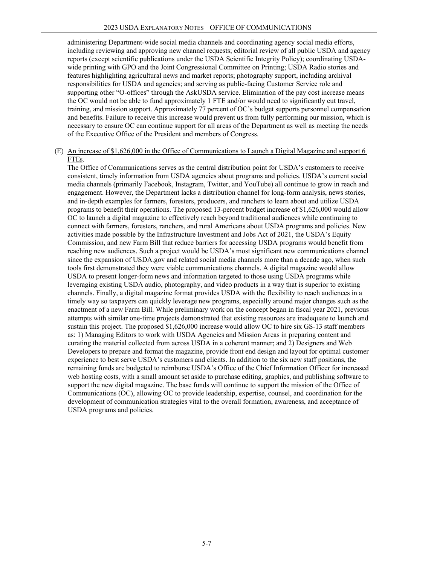administering Department-wide social media channels and coordinating agency social media efforts, including reviewing and approving new channel requests; editorial review of all public USDA and agency reports (except scientific publications under the USDA Scientific Integrity Policy); coordinating USDAwide printing with GPO and the Joint Congressional Committee on Printing; USDA Radio stories and features highlighting agricultural news and market reports; photography support, including archival responsibilities for USDA and agencies; and serving as public-facing Customer Service role and supporting other "O-offices" through the AskUSDA service. Elimination of the pay cost increase means the OC would not be able to fund approximately 1 FTE and/or would need to significantly cut travel, training, and mission support. Approximately 77 percent of OC's budget supports personnel compensation and benefits. Failure to receive this increase would prevent us from fully performing our mission, which is necessary to ensure OC can continue support for all areas of the Department as well as meeting the needs of the Executive Office of the President and members of Congress.

#### (E) An increase of \$1,626,000 in the Office of Communications to Launch a Digital Magazine and support 6 FTEs.

The Office of Communications serves as the central distribution point for USDA's customers to receive consistent, timely information from USDA agencies about programs and policies. USDA's current social media channels (primarily Facebook, Instagram, Twitter, and YouTube) all continue to grow in reach and engagement. However, the Department lacks a distribution channel for long-form analysis, news stories, and in-depth examples for farmers, foresters, producers, and ranchers to learn about and utilize USDA programs to benefit their operations. The proposed 13-percent budget increase of \$1,626,000 would allow OC to launch a digital magazine to effectively reach beyond traditional audiences while continuing to connect with farmers, foresters, ranchers, and rural Americans about USDA programs and policies. New activities made possible by the Infrastructure Investment and Jobs Act of 2021, the USDA's Equity Commission, and new Farm Bill that reduce barriers for accessing USDA programs would benefit from reaching new audiences. Such a project would be USDA's most significant new communications channel since the expansion of USDA.gov and related social media channels more than a decade ago, when such tools first demonstrated they were viable communications channels. A digital magazine would allow USDA to present longer-form news and information targeted to those using USDA programs while leveraging existing USDA audio, photography, and video products in a way that is superior to existing channels. Finally, a digital magazine format provides USDA with the flexibility to reach audiences in a timely way so taxpayers can quickly leverage new programs, especially around major changes such as the enactment of a new Farm Bill. While preliminary work on the concept began in fiscal year 2021, previous attempts with similar one-time projects demonstrated that existing resources are inadequate to launch and sustain this project. The proposed \$1,626,000 increase would allow OC to hire six GS-13 staff members as: 1) Managing Editors to work with USDA Agencies and Mission Areas in preparing content and curating the material collected from across USDA in a coherent manner; and 2) Designers and Web Developers to prepare and format the magazine, provide front end design and layout for optimal customer experience to best serve USDA's customers and clients. In addition to the six new staff positions, the remaining funds are budgeted to reimburse USDA's Office of the Chief Information Officer for increased web hosting costs, with a small amount set aside to purchase editing, graphics, and publishing software to support the new digital magazine. The base funds will continue to support the mission of the Office of Communications (OC), allowing OC to provide leadership, expertise, counsel, and coordination for the development of communication strategies vital to the overall formation, awareness, and acceptance of USDA programs and policies.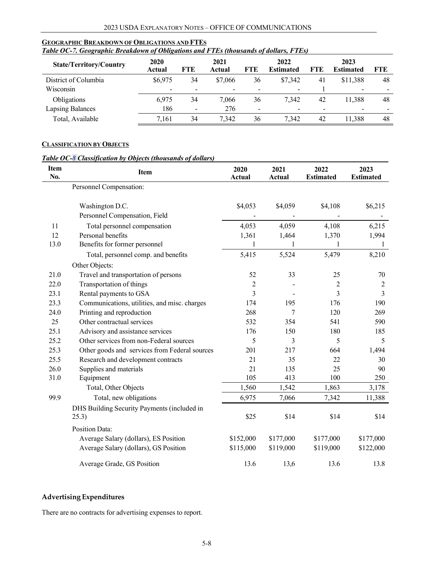| Table OC-7. Geographic Breakdown of Obligations and FTEs (thousands of dollars, FTEs) |                          |     |                |     |                          |     |                          |            |  |  |  |
|---------------------------------------------------------------------------------------|--------------------------|-----|----------------|-----|--------------------------|-----|--------------------------|------------|--|--|--|
| <b>State/Territory/Country</b>                                                        | 2020<br>Actual           | FTE | 2021<br>Actual | FTE | 2022<br><b>Estimated</b> | FTE | 2023<br><b>Estimated</b> | <b>FTE</b> |  |  |  |
| District of Columbia                                                                  | \$6,975                  | 34  | \$7,066        | 36  | \$7,342                  | 41  | \$11.388                 | 48         |  |  |  |
| Wisconsin                                                                             | $\overline{\phantom{0}}$ |     |                |     |                          |     |                          |            |  |  |  |
| Obligations                                                                           | 6.975                    | 34  | 7,066          | 36  | 7.342                    | 42  | 11.388                   | 48         |  |  |  |
| <b>Lapsing Balances</b>                                                               | 186                      | -   | 276            |     |                          |     |                          |            |  |  |  |
| Total, Available                                                                      | 7.161                    | 34  | 7.342          | 36  | 7.342                    | 42  | 11.388                   | 48         |  |  |  |

## **GEOGRAPHIC BREAKDOWN OF OBLIGATIONS AND FTES**

### **CLASSIFICATION BY OBJECTS**

### *Table OC-8 Classification by Objects (thousands of dollars)*

| <b>Item</b><br>No. | <b>Item</b>                                   | 2020<br>Actual | 2021<br>Actual | 2022<br><b>Estimated</b> | 2023<br><b>Estimated</b> |
|--------------------|-----------------------------------------------|----------------|----------------|--------------------------|--------------------------|
|                    | Personnel Compensation:                       |                |                |                          |                          |
|                    | Washington D.C.                               | \$4,053        | \$4,059        | \$4,108                  | \$6,215                  |
|                    | Personnel Compensation, Field                 |                |                |                          |                          |
| 11                 | Total personnel compensation                  | 4,053          | 4,059          | 4,108                    | 6,215                    |
| 12                 | Personal benefits                             | 1,361          | 1,464          | 1,370                    | 1,994                    |
| 13.0               | Benefits for former personnel                 | 1              | 1              | 1                        | $\mathbf{1}$             |
|                    | Total, personnel comp. and benefits           | 5,415          | 5,524          | 5,479                    | 8,210                    |
|                    | Other Objects:                                |                |                |                          |                          |
| 21.0               | Travel and transportation of persons          | 52             | 33             | 25                       | 70                       |
| 22.0               | Transportation of things                      | $\overline{2}$ |                | 2                        | 2                        |
| 23.1               | Rental payments to GSA                        | 3              |                | 3                        | 3                        |
| 23.3               | Communications, utilities, and misc. charges  | 174            | 195            | 176                      | 190                      |
| 24.0               | Printing and reproduction                     | 268            | 7              | 120                      | 269                      |
| 25                 | Other contractual services                    | 532            | 354            | 541                      | 590                      |
| 25.1               | Advisory and assistance services              | 176            | 150            | 180                      | 185                      |
| 25.2               | Other services from non-Federal sources       | 5              | 3              | 5                        | 5                        |
| 25.3               | Other goods and services from Federal sources | 201            | 217            | 664                      | 1,494                    |
| 25.5               | Research and development contracts            | 21             | 35             | 22                       | 30                       |
| 26.0               | Supplies and materials                        | 21             | 135            | 25                       | 90                       |
| 31.0               | Equipment                                     | 105            | 413            | 100                      | 250                      |
|                    | Total, Other Objects                          | 1,560          | 1,542          | 1,863                    | 3,178                    |
| 99.9               | Total, new obligations                        | 6,975          | 7,066          | 7,342                    | 11,388                   |
|                    | DHS Building Security Payments (included in   |                |                |                          |                          |
|                    | 25.3)                                         | \$25           | \$14           | \$14                     | \$14                     |
|                    | Position Data:                                |                |                |                          |                          |
|                    | Average Salary (dollars), ES Position         | \$152,000      | \$177,000      | \$177,000                | \$177,000                |
|                    | Average Salary (dollars), GS Position         | \$115,000      | \$119,000      | \$119,000                | \$122,000                |
|                    | Average Grade, GS Position                    | 13.6           | 13,6           | 13.6                     | 13.8                     |

## **Advertising Expenditures**

There are no contracts for advertising expenses to report.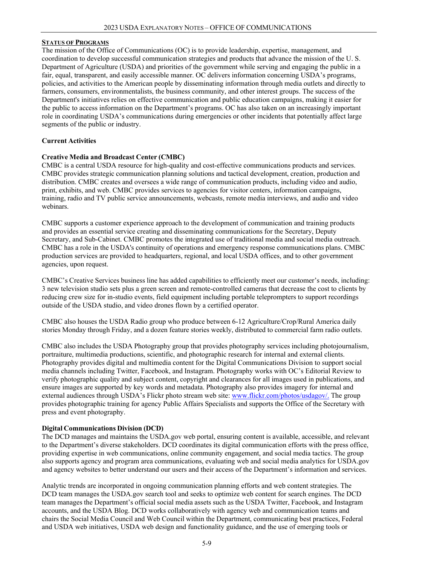### **STATUS OF PROGRAMS**

The mission of the Office of Communications (OC) is to provide leadership, expertise, management, and coordination to develop successful communication strategies and products that advance the mission of the U. S. Department of Agriculture (USDA) and priorities of the government while serving and engaging the public in a fair, equal, transparent, and easily accessible manner. OC delivers information concerning USDA's programs, policies, and activities to the American people by disseminating information through media outlets and directly to farmers, consumers, environmentalists, the business community, and other interest groups. The success of the Department's initiatives relies on effective communication and public education campaigns, making it easier for the public to access information on the Department's programs. OC has also taken on an increasingly important role in coordinating USDA's communications during emergencies or other incidents that potentially affect large segments of the public or industry.

### **Current Activities**

### **Creative Media and Broadcast Center (CMBC)**

CMBC is a central USDA resource for high-quality and cost-effective communications products and services. CMBC provides strategic communication planning solutions and tactical development, creation, production and distribution. CMBC creates and oversees a wide range of communication products, including video and audio, print, exhibits, and web. CMBC provides services to agencies for visitor centers, information campaigns, training, radio and TV public service announcements, webcasts, remote media interviews, and audio and video webinars.

CMBC supports a customer experience approach to the development of communication and training products and provides an essential service creating and disseminating communications for the Secretary, Deputy Secretary, and Sub-Cabinet. CMBC promotes the integrated use of traditional media and social media outreach. CMBC has a role in the USDA's continuity of operations and emergency response communications plans. CMBC production services are provided to headquarters, regional, and local USDA offices, and to other government agencies, upon request.

CMBC's Creative Services business line has added capabilities to efficiently meet our customer's needs, including: 3 new television studio sets plus a green screen and remote-controlled cameras that decrease the cost to clients by reducing crew size for in-studio events, field equipment including portable teleprompters to support recordings outside of the USDA studio, and video drones flown by a certified operator.

CMBC also houses the USDA Radio group who produce between 6-12 Agriculture/Crop/Rural America daily stories Monday through Friday, and a dozen feature stories weekly, distributed to commercial farm radio outlets.

CMBC also includes the USDA Photography group that provides photography services including photojournalism, portraiture, multimedia productions, scientific, and photographic research for internal and external clients. Photography provides digital and multimedia content for the Digital Communications Division to support social media channels including Twitter, Facebook, and Instagram. Photography works with OC's Editorial Review to verify photographic quality and subject content, copyright and clearances for all images used in publications, and ensure images are supported by key words and metadata. Photography also provides imagery for internal and external audiences through USDA's Flickr photo stream web site: www.flickr.com/photos/usdagov/. The group provides photographic training for agency Public Affairs Specialists and supports the Office of the Secretary with press and event photography.

### **Digital Communications Division (DCD)**

The DCD manages and maintains the USDA.gov web portal, ensuring content is available, accessible, and relevant to the Department's diverse stakeholders. DCD coordinates its digital communication efforts with the press office, providing expertise in web communications, online community engagement, and social media tactics. The group also supports agency and program area communications, evaluating web and social media analytics for USDA.gov and agency websites to better understand our users and their access of the Department's information and services.

Analytic trends are incorporated in ongoing communication planning efforts and web content strategies. The DCD team manages the USDA.gov search tool and seeks to optimize web content for search engines. The DCD team manages the Department's official social media assets such as the USDA Twitter, Facebook, and Instagram accounts, and the USDA Blog. DCD works collaboratively with agency web and communication teams and chairs the Social Media Council and Web Council within the Department, communicating best practices, Federal and USDA web initiatives, USDA web design and functionality guidance, and the use of emerging tools or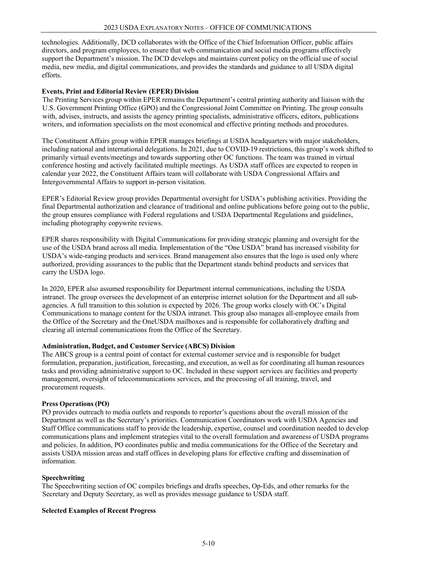technologies. Additionally, DCD collaborates with the Office of the Chief Information Officer, public affairs directors, and program employees, to ensure that web communication and social media programs effectively support the Department's mission. The DCD develops and maintains current policy on the official use of social media, new media, and digital communications, and provides the standards and guidance to all USDA digital efforts.

### **Events, Print and Editorial Review (EPER) Division**

The Printing Services group within EPER remains the Department's central printing authority and liaison with the U.S. Government Printing Office (GPO) and the Congressional Joint Committee on Printing. The group consults with, advises, instructs, and assists the agency printing specialists, administrative officers, editors, publications writers, and information specialists on the most economical and effective printing methods and procedures.

The Constituent Affairs group within EPER manages briefings at USDA headquarters with major stakeholders, including national and international delegations. In 2021, due to COVID-19 restrictions, this group's work shifted to primarily virtual events/meetings and towards supporting other OC functions. The team was trained in virtual conference hosting and actively facilitated multiple meetings. As USDA staff offices are expected to reopen in calendar year 2022, the Constituent Affairs team will collaborate with USDA Congressional Affairs and Intergovernmental Affairs to support in-person visitation.

EPER's Editorial Review group provides Departmental oversight for USDA's publishing activities. Providing the final Departmental authorization and clearance of traditional and online publications before going out to the public, the group ensures compliance with Federal regulations and USDA Departmental Regulations and guidelines, including photography copywrite reviews.

EPER shares responsibility with Digital Communications for providing strategic planning and oversight for the use of the USDA brand across all media. Implementation of the "One USDA" brand has increased visibility for USDA's wide-ranging products and services. Brand management also ensures that the logo is used only where authorized, providing assurances to the public that the Department stands behind products and services that carry the USDA logo.

In 2020, EPER also assumed responsibility for Department internal communications, including the USDA intranet. The group oversees the development of an enterprise internet solution for the Department and all subagencies. A full transition to this solution is expected by 2026. The group works closely with OC's Digital Communications to manage content for the USDA intranet. This group also manages all-employee emails from the Office of the Secretary and the OneUSDA mailboxes and is responsible for collaboratively drafting and clearing all internal communications from the Office of the Secretary.

### **Administration, Budget, and Customer Service (ABCS) Division**

The ABCS group is a central point of contact for external customer service and is responsible for budget formulation, preparation, justification, forecasting, and execution, as well as for coordinating all human resources tasks and providing administrative support to OC. Included in these support services are facilities and property management, oversight of telecommunications services, and the processing of all training, travel, and procurement requests.

#### **Press Operations (PO)**

PO provides outreach to media outlets and responds to reporter's questions about the overall mission of the Department as well as the Secretary's priorities. Communication Coordinators work with USDA Agencies and Staff Office communications staff to provide the leadership, expertise, counsel and coordination needed to develop communications plans and implement strategies vital to the overall formulation and awareness of USDA programs and policies. In addition, PO coordinates public and media communications for the Office of the Secretary and assists USDA mission areas and staff offices in developing plans for effective crafting and dissemination of information.

### **Speechwriting**

The Speechwriting section of OC compiles briefings and drafts speeches, Op-Eds, and other remarks for the Secretary and Deputy Secretary, as well as provides message guidance to USDA staff.

### **Selected Examples of Recent Progress**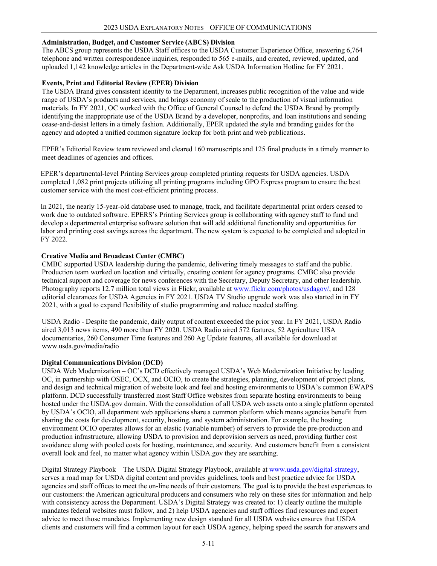### **Administration, Budget, and Customer Service (ABCS) Division**

The ABCS group represents the USDA Staff offices to the USDA Customer Experience Office, answering 6,764 telephone and written correspondence inquiries, responded to 565 e-mails, and created, reviewed, updated, and uploaded 1,142 knowledge articles in the Department-wide Ask USDA Information Hotline for FY 2021.

### **Events, Print and Editorial Review (EPER) Division**

The USDA Brand gives consistent identity to the Department, increases public recognition of the value and wide range of USDA's products and services, and brings economy of scale to the production of visual information materials. In FY 2021, OC worked with the Office of General Counsel to defend the USDA Brand by promptly identifying the inappropriate use of the USDA Brand by a developer, nonprofits, and loan institutions and sending cease-and-desist letters in a timely fashion. Additionally, EPER updated the style and branding guides for the agency and adopted a unified common signature lockup for both print and web publications.

EPER's Editorial Review team reviewed and cleared 160 manuscripts and 125 final products in a timely manner to meet deadlines of agencies and offices.

EPER's departmental-level Printing Services group completed printing requests for USDA agencies. USDA completed 1,082 print projects utilizing all printing programs including GPO Express program to ensure the best customer service with the most cost-efficient printing process.

In 2021, the nearly 15-year-old database used to manage, track, and facilitate departmental print orders ceased to work due to outdated software. EPERS's Printing Services group is collaborating with agency staff to fund and develop a departmental enterprise software solution that will add additional functionality and opportunities for labor and printing cost savings across the department. The new system is expected to be completed and adopted in FY 2022.

### **Creative Media and Broadcast Center (CMBC)**

CMBC supported USDA leadership during the pandemic, delivering timely messages to staff and the public. Production team worked on location and virtually, creating content for agency programs. CMBC also provide technical support and coverage for news conferences with the Secretary, Deputy Secretary, and other leadership. Photography reports 12.7 million total views in Flickr, available at www.flickr.com/photos/usdagov/, and 128 editorial clearances for USDA Agencies in FY 2021. USDA TV Studio upgrade work was also started in in FY 2021, with a goal to expand flexibility of studio programming and reduce needed staffing.

USDA Radio - Despite the pandemic, daily output of content exceeded the prior year. In FY 2021, USDA Radio aired 3,013 news items, 490 more than FY 2020. USDA Radio aired 572 features, 52 Agriculture USA documentaries, 260 Consumer Time features and 260 Ag Update features, all available for download at www.usda.gov/media/radio

#### **Digital Communications Division (DCD)**

USDA Web Modernization – OC's DCD effectively managed USDA's Web Modernization Initiative by leading OC, in partnership with OSEC, OCX, and OCIO, to create the strategies, planning, development of project plans, and design and technical migration of website look and feel and hosting environments to USDA's common EWAPS platform. DCD successfully transferred most Staff Office websites from separate hosting environments to being hosted under the USDA.gov domain. With the consolidation of all USDA web assets onto a single platform operated by USDA's OCIO, all department web applications share a common platform which means agencies benefit from sharing the costs for development, security, hosting, and system administration. For example, the hosting environment OCIO operates allows for an elastic (variable number) of servers to provide the pre-production and production infrastructure, allowing USDA to provision and deprovision servers as need, providing further cost avoidance along with pooled costs for hosting, maintenance, and security. And customers benefit from a consistent overall look and feel, no matter what agency within USDA.gov they are searching.

Digital Strategy Playbook – The USDA Digital Strategy Playbook, available at www.usda.gov/digital-strategy, serves a road map for USDA digital content and provides guidelines, tools and best practice advice for USDA agencies and staff offices to meet the on-line needs of their customers. The goal is to provide the best experiences to our customers: the American agricultural producers and consumers who rely on these sites for information and help with consistency across the Department. USDA's Digital Strategy was created to: 1) clearly outline the multiple mandates federal websites must follow, and 2) help USDA agencies and staff offices find resources and expert advice to meet those mandates. Implementing new design standard for all USDA websites ensures that USDA clients and customers will find a common layout for each USDA agency, helping speed the search for answers and